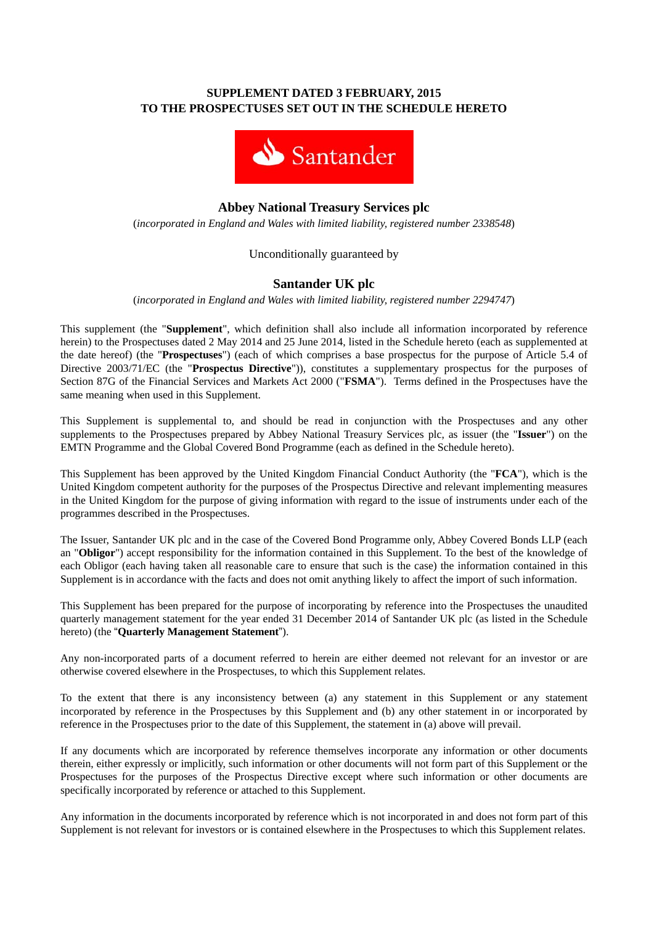# **SUPPLEMENT DATED 3 FEBRUARY, 2015 TO THE PROSPECTUSES SET OUT IN THE SCHEDULE HERETO**



# **Abbey National Treasury Services plc**

(*incorporated in England and Wales with limited liability, registered number 2338548*)

## Unconditionally guaranteed by

# **Santander UK plc**

(*incorporated in England and Wales with limited liability, registered number 2294747*)

This supplement (the "**Supplement**", which definition shall also include all information incorporated by reference herein) to the Prospectuses dated 2 May 2014 and 25 June 2014, listed in the Schedule hereto (each as supplemented at the date hereof) (the "**Prospectuses**") (each of which comprises a base prospectus for the purpose of Article 5.4 of Directive 2003/71/EC (the "**Prospectus Directive**")), constitutes a supplementary prospectus for the purposes of Section 87G of the Financial Services and Markets Act 2000 ("**FSMA**"). Terms defined in the Prospectuses have the same meaning when used in this Supplement.

This Supplement is supplemental to, and should be read in conjunction with the Prospectuses and any other supplements to the Prospectuses prepared by Abbey National Treasury Services plc, as issuer (the "**Issuer**") on the EMTN Programme and the Global Covered Bond Programme (each as defined in the Schedule hereto).

This Supplement has been approved by the United Kingdom Financial Conduct Authority (the "**FCA**"), which is the United Kingdom competent authority for the purposes of the Prospectus Directive and relevant implementing measures in the United Kingdom for the purpose of giving information with regard to the issue of instruments under each of the programmes described in the Prospectuses.

The Issuer, Santander UK plc and in the case of the Covered Bond Programme only, Abbey Covered Bonds LLP (each an "**Obligor**") accept responsibility for the information contained in this Supplement. To the best of the knowledge of each Obligor (each having taken all reasonable care to ensure that such is the case) the information contained in this Supplement is in accordance with the facts and does not omit anything likely to affect the import of such information.

This Supplement has been prepared for the purpose of incorporating by reference into the Prospectuses the unaudited quarterly management statement for the year ended 31 December 2014 of Santander UK plc (as listed in the Schedule hereto) (the "**Quarterly Management Statement**").

Any non-incorporated parts of a document referred to herein are either deemed not relevant for an investor or are otherwise covered elsewhere in the Prospectuses, to which this Supplement relates.

To the extent that there is any inconsistency between (a) any statement in this Supplement or any statement incorporated by reference in the Prospectuses by this Supplement and (b) any other statement in or incorporated by reference in the Prospectuses prior to the date of this Supplement, the statement in (a) above will prevail.

If any documents which are incorporated by reference themselves incorporate any information or other documents therein, either expressly or implicitly, such information or other documents will not form part of this Supplement or the Prospectuses for the purposes of the Prospectus Directive except where such information or other documents are specifically incorporated by reference or attached to this Supplement.

Any information in the documents incorporated by reference which is not incorporated in and does not form part of this Supplement is not relevant for investors or is contained elsewhere in the Prospectuses to which this Supplement relates.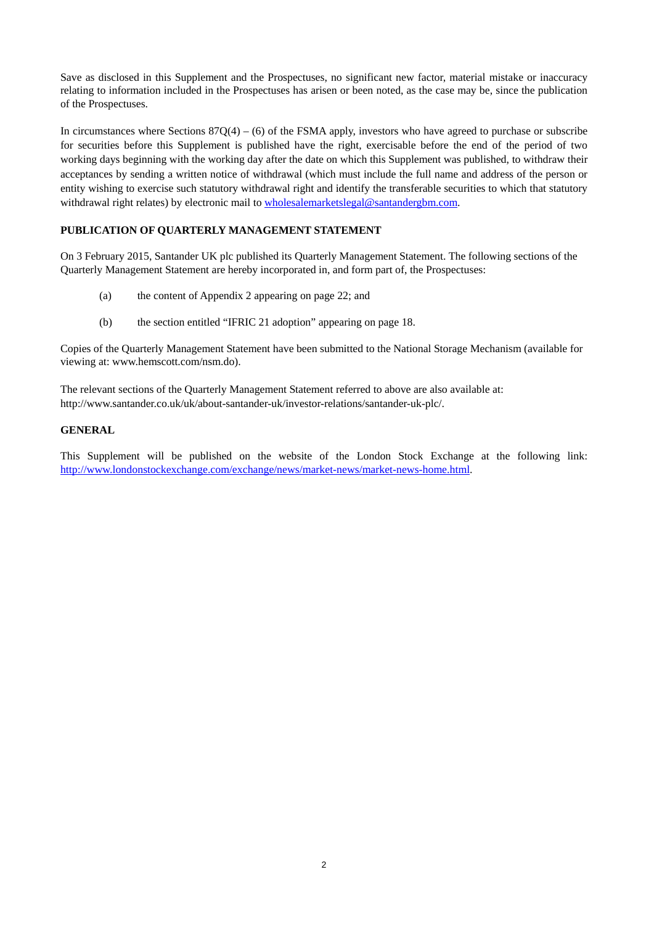Save as disclosed in this Supplement and the Prospectuses, no significant new factor, material mistake or inaccuracy relating to information included in the Prospectuses has arisen or been noted, as the case may be, since the publication of the Prospectuses.

In circumstances where Sections  $87Q(4) - (6)$  of the FSMA apply, investors who have agreed to purchase or subscribe for securities before this Supplement is published have the right, exercisable before the end of the period of two working days beginning with the working day after the date on which this Supplement was published, to withdraw their acceptances by sending a written notice of withdrawal (which must include the full name and address of the person or entity wishing to exercise such statutory withdrawal right and identify the transferable securities to which that statutory withdrawal right relates) by electronic mail to wholesalemarketslegal@santandergbm.com.

### **PUBLICATION OF QUARTERLY MANAGEMENT STATEMENT**

On 3 February 2015, Santander UK plc published its Quarterly Management Statement. The following sections of the Quarterly Management Statement are hereby incorporated in, and form part of, the Prospectuses:

- (a) the content of Appendix 2 appearing on page 22; and
- (b) the section entitled "IFRIC 21 adoption" appearing on page 18.

Copies of the Quarterly Management Statement have been submitted to the National Storage Mechanism (available for viewing at: www.hemscott.com/nsm.do).

The relevant sections of the Quarterly Management Statement referred to above are also available at: http://www.santander.co.uk/uk/about-santander-uk/investor-relations/santander-uk-plc/.

#### **GENERAL**

This Supplement will be published on the website of the London Stock Exchange at the following link: http://www.londonstockexchange.com/exchange/news/market-news/market-news-home.html.